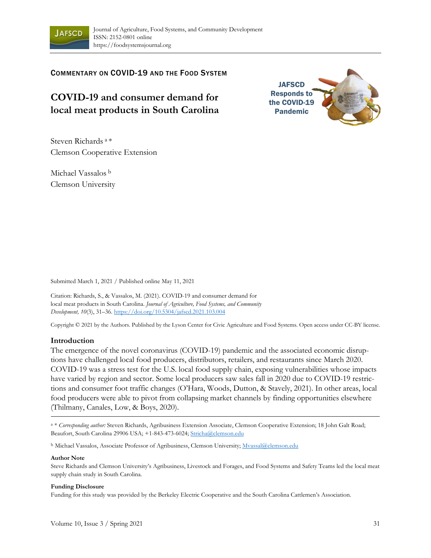

COMMENTARY ON COVID-19 AND THE FOOD SYSTEM

# **COVID-19 and consumer demand for local meat products in South Carolina**



Steven Richards a \* Clemson Cooperative Extension

Michael Vassalos b Clemson University

Submitted March 1, 2021 / Published online May 11, 2021

Citation: Richards, S., & Vassalos, M. (2021). COVID-19 and consumer demand for local meat products in South Carolina. *Journal of Agriculture, Food Systems, and Community Development, 10*(3), 31–36. https://doi.org/10.5304/jafscd.2021.103.004

Copyright © 2021 by the Authors. Published by the Lyson Center for Civic Agriculture and Food Systems. Open access under CC-BY license.

### **Introduction**

The emergence of the novel coronavirus (COVID-19) pandemic and the associated economic disruptions have challenged local food producers, distributors, retailers, and restaurants since March 2020. COVID-19 was a stress test for the U.S. local food supply chain, exposing vulnerabilities whose impacts have varied by region and sector. Some local producers saw sales fall in 2020 due to COVID-19 restrictions and consumer foot traffic changes (O'Hara, Woods, Dutton, & Stavely, 2021). In other areas, local food producers were able to pivot from collapsing market channels by finding opportunities elsewhere (Thilmany, Canales, Low, & Boys, 2020).

a \* *Corresponding author:* Steven Richards, Agribusiness Extension Associate, Clemson Cooperative Extension; 18 John Galt Road; Beaufort, South Carolina 29906 USA; +1-843-473-6024; Stricha@clemson.edu

<sup>b</sup> Michael Vassalos, Associate Professor of Agribusiness, Clemson University; Mvassal@clemson.edu

#### **Author Note**

Steve Richards and Clemson University's Agribusiness, Livestock and Forages, and Food Systems and Safety Teams led the local meat supply chain study in South Carolina.

#### **Funding Disclosure**

Funding for this study was provided by the Berkeley Electric Cooperative and the South Carolina Cattlemen's Association.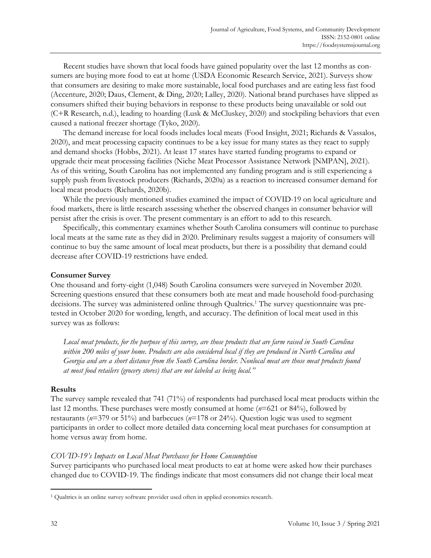Recent studies have shown that local foods have gained popularity over the last 12 months as consumers are buying more food to eat at home (USDA Economic Research Service, 2021). Surveys show that consumers are desiring to make more sustainable, local food purchases and are eating less fast food (Accenture, 2020; Daus, Clement, & Ding, 2020; Lalley, 2020). National brand purchases have slipped as consumers shifted their buying behaviors in response to these products being unavailable or sold out (C+R Research, n.d.), leading to hoarding (Lusk & McCluskey, 2020) and stockpiling behaviors that even caused a national freezer shortage (Tyko, 2020).

 The demand increase for local foods includes local meats (Food Insight, 2021; Richards & Vassalos, 2020), and meat processing capacity continues to be a key issue for many states as they react to supply and demand shocks (Hobbs, 2021). At least 17 states have started funding programs to expand or upgrade their meat processing facilities (Niche Meat Processor Assistance Network [NMPAN], 2021). As of this writing, South Carolina has not implemented any funding program and is still experiencing a supply push from livestock producers (Richards, 2020a) as a reaction to increased consumer demand for local meat products (Richards, 2020b).

 While the previously mentioned studies examined the impact of COVID-19 on local agriculture and food markets, there is little research assessing whether the observed changes in consumer behavior will persist after the crisis is over. The present commentary is an effort to add to this research.

 Specifically, this commentary examines whether South Carolina consumers will continue to purchase local meats at the same rate as they did in 2020. Preliminary results suggest a majority of consumers will continue to buy the same amount of local meat products, but there is a possibility that demand could decrease after COVID-19 restrictions have ended.

## **Consumer Survey**

One thousand and forty-eight (1,048) South Carolina consumers were surveyed in November 2020. Screening questions ensured that these consumers both ate meat and made household food-purchasing decisions. The survey was administered online through Qualtrics.1 The survey questionnaire was pretested in October 2020 for wording, length, and accuracy. The definition of local meat used in this survey was as follows:

*Local meat products, for the purpose of this survey, are those products that are farm raised in South Carolina within 200 miles of your home. Products are also considered local if they are produced in North Carolina and Georgia and are a short distance from the South Carolina border. Nonlocal meat are those meat products found at most food retailers (grocery stores) that are not labeled as being local."*

### **Results**

The survey sample revealed that 741 (71%) of respondents had purchased local meat products within the last 12 months. These purchases were mostly consumed at home (*n*=621 or 84%), followed by restaurants (*n*=379 or 51%) and barbecues (*n*=178 or 24%). Question logic was used to segment participants in order to collect more detailed data concerning local meat purchases for consumption at home versus away from home.

## *COVID-19's Impacts on Local Meat Purchases for Home Consumption*

Survey participants who purchased local meat products to eat at home were asked how their purchases changed due to COVID-19. The findings indicate that most consumers did not change their local meat

<sup>1</sup> Qualtrics is an online survey software provider used often in applied economics research.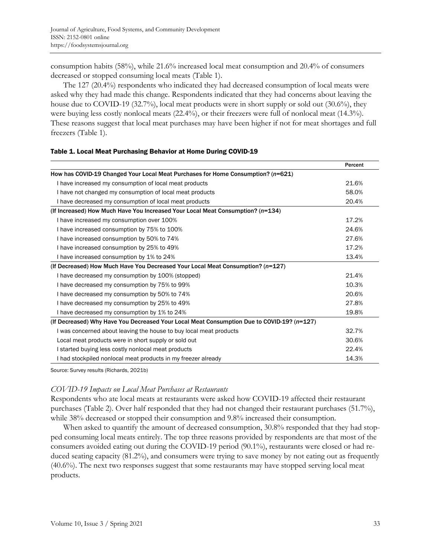consumption habits (58%), while 21.6% increased local meat consumption and 20.4% of consumers decreased or stopped consuming local meats (Table 1).

 The 127 (20.4%) respondents who indicated they had decreased consumption of local meats were asked why they had made this change. Respondents indicated that they had concerns about leaving the house due to COVID-19 (32.7%), local meat products were in short supply or sold out (30.6%), they were buying less costly nonlocal meats (22.4%), or their freezers were full of nonlocal meat (14.3%). These reasons suggest that local meat purchases may have been higher if not for meat shortages and full freezers (Table 1).

|                                                                                            | Percent |
|--------------------------------------------------------------------------------------------|---------|
| How has COVID-19 Changed Your Local Meat Purchases for Home Consumption? (n=621)           |         |
| I have increased my consumption of local meat products                                     | 21.6%   |
| I have not changed my consumption of local meat products                                   | 58.0%   |
| I have decreased my consumption of local meat products                                     | 20.4%   |
| (If Increased) How Much Have You Increased Your Local Meat Consumption? (n=134)            |         |
| I have increased my consumption over 100%                                                  | 17.2%   |
| I have increased consumption by 75% to 100%                                                | 24.6%   |
| I have increased consumption by 50% to 74%                                                 | 27.6%   |
| I have increased consumption by 25% to 49%                                                 | 17.2%   |
| I have increased consumption by 1% to 24%                                                  | 13.4%   |
| (If Decreased) How Much Have You Decreased Your Local Meat Consumption? (n=127)            |         |
| I have decreased my consumption by 100% (stopped)                                          | 21.4%   |
| I have decreased my consumption by 75% to 99%                                              | 10.3%   |
| I have decreased my consumption by 50% to 74%                                              | 20.6%   |
| I have decreased my consumption by 25% to 49%                                              | 27.8%   |
| I have decreased my consumption by 1% to 24%                                               | 19.8%   |
| (If Decreased) Why Have You Decreased Your Local Meat Consumption Due to COVID-19? (n=127) |         |
| I was concerned about leaving the house to buy local meat products                         | 32.7%   |
| Local meat products were in short supply or sold out                                       | 30.6%   |
| I started buying less costly nonlocal meat products                                        | 22.4%   |
| I had stockpiled nonlocal meat products in my freezer already                              | 14.3%   |

### Table 1. Local Meat Purchasing Behavior at Home During COVID-19

Source: Survey results (Richards, 2021b)

### *COVID-19 Impacts on Local Meat Purchases at Restaurants*

Respondents who ate local meats at restaurants were asked how COVID-19 affected their restaurant purchases (Table 2). Over half responded that they had not changed their restaurant purchases (51.7%), while 38% decreased or stopped their consumption and 9.8% increased their consumption.

 When asked to quantify the amount of decreased consumption, 30.8% responded that they had stopped consuming local meats entirely. The top three reasons provided by respondents are that most of the consumers avoided eating out during the COVID-19 period (90.1%), restaurants were closed or had reduced seating capacity (81.2%), and consumers were trying to save money by not eating out as frequently (40.6%). The next two responses suggest that some restaurants may have stopped serving local meat products.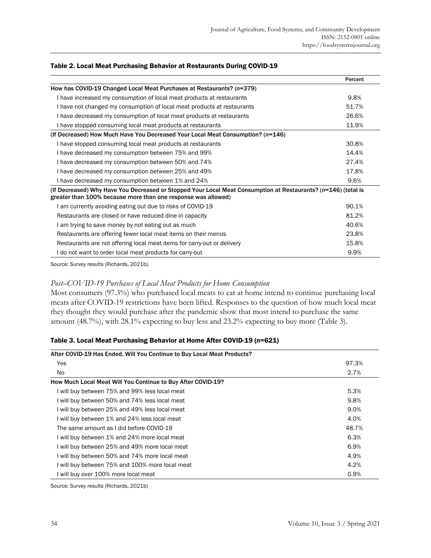|                                                                                                                                                                                 | Percent |
|---------------------------------------------------------------------------------------------------------------------------------------------------------------------------------|---------|
| How has COVID-19 Changed Local Meat Purchases at Restaurants? (n=379)                                                                                                           |         |
| I have increased my consumption of local meat products at restaurants                                                                                                           | 9.8%    |
| I have not changed my consumption of local meat products at restaurants                                                                                                         | 51.7%   |
| I have decreased my consumption of local meat products at restaurants                                                                                                           | 26.6%   |
| I have stopped consuming local meat products at restaurants                                                                                                                     | 11.9%   |
| (If Decreased) How Much Have You Decreased Your Local Meat Consumption? (n=146)                                                                                                 |         |
| I have stopped consuming local meat products at restaurants                                                                                                                     | 30.8%   |
| I have decreased my consumption between 75% and 99%                                                                                                                             | 14.4%   |
| I have decreased my consumption between 50% and 74%                                                                                                                             | 27.4%   |
| I have decreased my consumption between 25% and 49%                                                                                                                             | 17.8%   |
| I have decreased my consumption between 1% and 24%                                                                                                                              | 9.6%    |
| (If Decreased) Why Have You Decreased or Stopped Your Local Meat Consumption at Restaurants? (n=146) (total is<br>greater than 100% because more than one response was allowed) |         |
| I am currently avoiding eating out due to risks of COVID-19                                                                                                                     | 90.1%   |
| Restaurants are closed or have reduced dine-in capacity                                                                                                                         | 81.2%   |
| I am trying to save money by not eating out as much                                                                                                                             | 40.6%   |
| Restaurants are offering fewer local meat items on their menus                                                                                                                  | 23.8%   |
| Restaurants are not offering local meat items for carry-out or delivery                                                                                                         | 15.8%   |
| I do not want to order local meat products for carry-out                                                                                                                        | 9.9%    |

#### Table 2. Local Meat Purchasing Behavior at Restaurants During COVID-19

Source: Survey results (Richards, 2021b).

### *Post–COVID-19 Purchases of Local Meat Products for Home Consumption*

Most consumers (97.3%) who purchased local meats to eat at home intend to continue purchasing local meats after COVID-19 restrictions have been lifted. Responses to the question of how much local meat they thought they would purchase after the pandemic show that most intend to purchase the same amount (48.7%), with 28.1% expecting to buy less and 23.2% expecting to buy more (Table 3).

#### Table 3. Local Meat Purchasing Behavior at Home After COVID-19 (*n*=621)

| After COVID-19 Has Ended, Will You Continue to Buy Local Meat Products? |       |  |
|-------------------------------------------------------------------------|-------|--|
| Yes                                                                     | 97.3% |  |
| No.                                                                     | 2.7%  |  |
| How Much Local Meat Will You Continue to Buy After COVID-19?            |       |  |
| I will buy between 75% and 99% less local meat                          | 5.3%  |  |
| I will buy between 50% and 74% less local meat                          | 9.8%  |  |
| I will buy between 25% and 49% less local meat                          | 9.0%  |  |
| I will buy between 1% and 24% less local meat                           | 4.0%  |  |
| The same amount as I did before COVID-19                                | 48.7% |  |
| I will buy between 1% and 24% more local meat                           | 6.3%  |  |
| I will buy between 25% and 49% more local meat                          | 6.9%  |  |
| I will buy between 50% and 74% more local meat                          | 4.9%  |  |
| I will buy between 75% and 100% more local meat                         | 4.2%  |  |
| I will buy over 100% more local meat                                    | 0.9%  |  |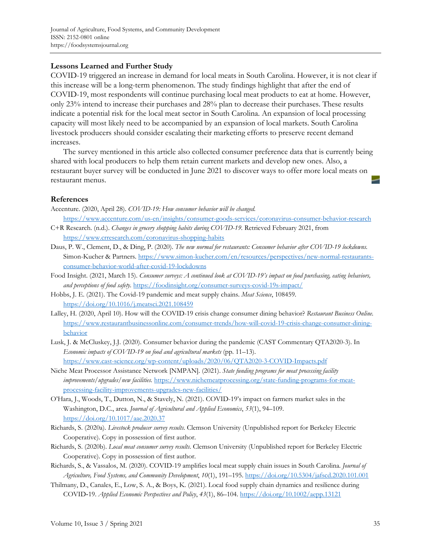## **Lessons Learned and Further Study**

COVID-19 triggered an increase in demand for local meats in South Carolina. However, it is not clear if this increase will be a long-term phenomenon. The study findings highlight that after the end of COVID-19, most respondents will continue purchasing local meat products to eat at home. However, only 23% intend to increase their purchases and 28% plan to decrease their purchases. These results indicate a potential risk for the local meat sector in South Carolina. An expansion of local processing capacity will most likely need to be accompanied by an expansion of local markets. South Carolina livestock producers should consider escalating their marketing efforts to preserve recent demand increases.

 The survey mentioned in this article also collected consumer preference data that is currently being shared with local producers to help them retain current markets and develop new ones. Also, a restaurant buyer survey will be conducted in June 2021 to discover ways to offer more local meats on restaurant menus.

## **References**

- Accenture. (2020, April 28). *COVID-19: How consumer behavior will be changed.* https://www.accenture.com/us-en/insights/consumer-goods-services/coronavirus-consumer-behavior-research
- C+R Research. (n.d.). *Changes in grocery shopping habits during COVID-19.* Retrieved February 2021, from https://www.crresearch.com/coronavirus-shopping-habits
- Daus, P. W., Clement, D., & Ding, P. (2020). *The new normal for restaurants: Consumer behavior after COVID-19 lockdowns.* [Simon-Kucher & Partners. https://www.simon-kucher.com/en/resources/perspectives/new-normal-restaurants](https://www.simon-kucher.com/en/resources/perspectives/new-normal-restaurants-consumer-behavior-world-after-covid-19-lockdowns)consumer-behavior-world-after-covid-19-lockdowns
- Food Insight. (2021, March 15). *Consumer surveys: A continued look at COVID-19's impact on food purchasing, eating behaviors, and perceptions of food safety.* https://foodinsight.org/consumer-surveys-covid-19s-impact/
- Hobbs, J. E. (2021). The Covid-19 pandemic and meat supply chains. *Meat Science*, 108459. https://doi.org/10.1016/j.meatsci.2021.108459
- Lalley, H. (2020, April 10). How will the COVID-19 crisis change consumer dining behavior? *Restaurant Business Online.* [https://www.restaurantbusinessonline.com/consumer-trends/how-will-covid-19-crisis-change-consumer-dining](https://www.restaurantbusinessonline.com/consumer-trends/how-will-covid-19-crisis-change-consumer-dining-behavior)behavior
- Lusk, J. & McCluskey, J.J. (2020). Consumer behavior during the pandemic (CAST Commentary QTA2020-3). In *Economic impacts of COVID-19 on food and agricultural markets* (pp. 11–13). https://www.cast-science.org/wp-content/uploads/2020/06/QTA2020-3-COVID-Impacts.pdf
- Niche Meat Processor Assistance Network [NMPAN]. (2021). *State funding programs for meat processing facility improvements/upgrades/new facilities.* [https://www.nichemeatprocessing.org/state-funding-programs-for-meat](https://www.nichemeatprocessing.org/state-funding-programs-for-meat-processing-facility-improvements-upgrades-new-facilities/)processing-facility-improvements-upgrades-new-facilities/
- O'Hara, J., Woods, T., Dutton, N., & Stavely, N. (2021). COVID-19's impact on farmers market sales in the Washington, D.C., area. *Journal of Agricultural and Applied Economics*, *53*(1), 94–109. https://doi.org/10.1017/aae.2020.37
- Richards, S. (2020a). *Livestock producer survey results*. Clemson University (Unpublished report for Berkeley Electric Cooperative). Copy in possession of first author.
- Richards, S. (2020b). *Local meat consumer survey results*. Clemson University (Unpublished report for Berkeley Electric Cooperative). Copy in possession of first author.
- Richards, S., & Vassalos, M. (2020). COVID-19 amplifies local meat supply chain issues in South Carolina. *Journal of Agriculture, Food Systems, and Community Development*, *10*(1), 191–195. https://doi.org/10.5304/jafscd.2020.101.001
- Thilmany, D., Canales, E., Low, S. A., & Boys, K. (2021). Local food supply chain dynamics and resilience during COVID‐19. *Applied Economic Perspectives and Policy*, *43*(1), 86–104. https://doi.org/10.1002/aepp.13121